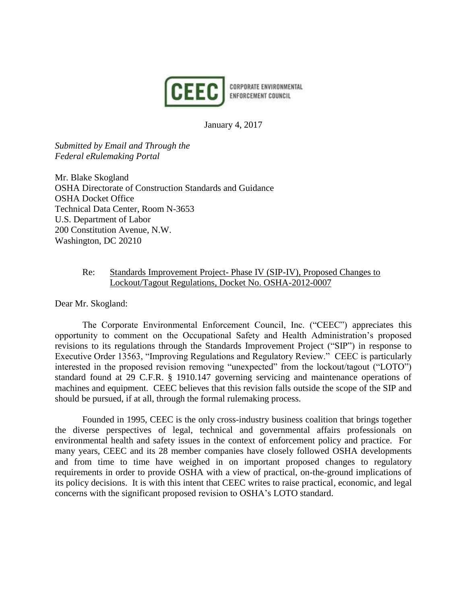

January 4, 2017

*Submitted by Email and Through the Federal eRulemaking Portal* 

Mr. Blake Skogland OSHA Directorate of Construction Standards and Guidance OSHA Docket Office Technical Data Center, Room N-3653 U.S. Department of Labor 200 Constitution Avenue, N.W. Washington, DC 20210

# Re: Standards Improvement Project- Phase IV (SIP-IV), Proposed Changes to Lockout/Tagout Regulations, Docket No. OSHA-2012-0007

Dear Mr. Skogland:

The Corporate Environmental Enforcement Council, Inc. ("CEEC") appreciates this opportunity to comment on the Occupational Safety and Health Administration's proposed revisions to its regulations through the Standards Improvement Project ("SIP") in response to Executive Order 13563, "Improving Regulations and Regulatory Review." CEEC is particularly interested in the proposed revision removing "unexpected" from the lockout/tagout ("LOTO") standard found at 29 C.F.R. § 1910.147 governing servicing and maintenance operations of machines and equipment. CEEC believes that this revision falls outside the scope of the SIP and should be pursued, if at all, through the formal rulemaking process.

Founded in 1995, CEEC is the only cross-industry business coalition that brings together the diverse perspectives of legal, technical and governmental affairs professionals on environmental health and safety issues in the context of enforcement policy and practice. For many years, CEEC and its 28 member companies have closely followed OSHA developments and from time to time have weighed in on important proposed changes to regulatory requirements in order to provide OSHA with a view of practical, on-the-ground implications of its policy decisions. It is with this intent that CEEC writes to raise practical, economic, and legal concerns with the significant proposed revision to OSHA's LOTO standard.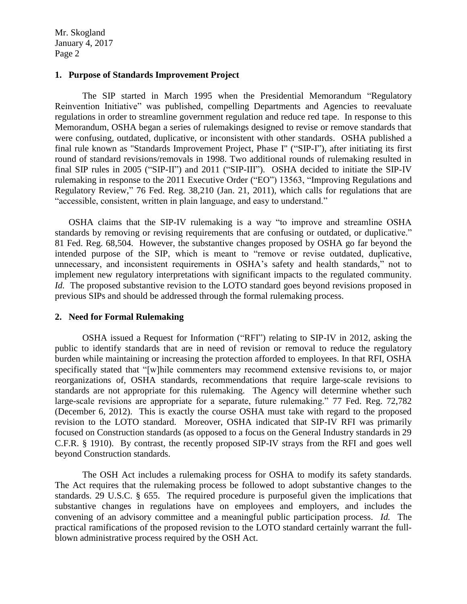#### **1. Purpose of Standards Improvement Project**

The SIP started in March 1995 when the Presidential Memorandum "Regulatory Reinvention Initiative" was published, compelling Departments and Agencies to reevaluate regulations in order to streamline government regulation and reduce red tape. In response to this Memorandum, OSHA began a series of rulemakings designed to revise or remove standards that were confusing, outdated, duplicative, or inconsistent with other standards. OSHA published a final rule known as "Standards Improvement Project, Phase I" ("SIP-I"), after initiating its first round of standard revisions/removals in 1998. Two additional rounds of rulemaking resulted in final SIP rules in 2005 ("SIP-II") and 2011 ("SIP-III"). OSHA decided to initiate the SIP-IV rulemaking in response to the 2011 Executive Order ("EO") 13563, "Improving Regulations and Regulatory Review," 76 Fed. Reg. 38,210 (Jan. 21, 2011), which calls for regulations that are "accessible, consistent, written in plain language, and easy to understand."

OSHA claims that the SIP-IV rulemaking is a way "to improve and streamline OSHA standards by removing or revising requirements that are confusing or outdated, or duplicative." 81 Fed. Reg. 68,504. However, the substantive changes proposed by OSHA go far beyond the intended purpose of the SIP, which is meant to "remove or revise outdated, duplicative, unnecessary, and inconsistent requirements in OSHA's safety and health standards," not to implement new regulatory interpretations with significant impacts to the regulated community. *Id.* The proposed substantive revision to the LOTO standard goes beyond revisions proposed in previous SIPs and should be addressed through the formal rulemaking process.

#### **2. Need for Formal Rulemaking**

OSHA issued a Request for Information ("RFI") relating to SIP-IV in 2012, asking the public to identify standards that are in need of revision or removal to reduce the regulatory burden while maintaining or increasing the protection afforded to employees. In that RFI, OSHA specifically stated that "[w]hile commenters may recommend extensive revisions to, or major reorganizations of, OSHA standards, recommendations that require large-scale revisions to standards are not appropriate for this rulemaking. The Agency will determine whether such large-scale revisions are appropriate for a separate, future rulemaking." 77 Fed. Reg. 72,782 (December 6, 2012). This is exactly the course OSHA must take with regard to the proposed revision to the LOTO standard. Moreover, OSHA indicated that SIP-IV RFI was primarily focused on Construction standards (as opposed to a focus on the General Industry standards in 29 C.F.R. § 1910). By contrast, the recently proposed SIP-IV strays from the RFI and goes well beyond Construction standards.

The OSH Act includes a rulemaking process for OSHA to modify its safety standards. The Act requires that the rulemaking process be followed to adopt substantive changes to the standards. 29 U.S.C. § 655. The required procedure is purposeful given the implications that substantive changes in regulations have on employees and employers, and includes the convening of an advisory committee and a meaningful public participation process. *Id.* The practical ramifications of the proposed revision to the LOTO standard certainly warrant the fullblown administrative process required by the OSH Act.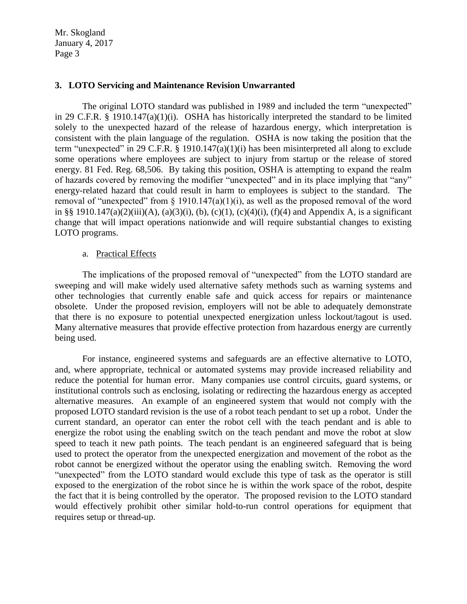## **3. LOTO Servicing and Maintenance Revision Unwarranted**

The original LOTO standard was published in 1989 and included the term "unexpected" in 29 C.F.R. § 1910.147(a)(1)(i). OSHA has historically interpreted the standard to be limited solely to the unexpected hazard of the release of hazardous energy, which interpretation is consistent with the plain language of the regulation. OSHA is now taking the position that the term "unexpected" in 29 C.F.R. § 1910.147(a)(1)(i) has been misinterpreted all along to exclude some operations where employees are subject to injury from startup or the release of stored energy. 81 Fed. Reg. 68,506. By taking this position, OSHA is attempting to expand the realm of hazards covered by removing the modifier "unexpected" and in its place implying that "any" energy-related hazard that could result in harm to employees is subject to the standard. The removal of "unexpected" from § 1910.147(a)(1)(i), as well as the proposed removal of the word in §§ 1910.147(a)(2)(iii)(A), (a)(3)(i), (b), (c)(1), (c)(4)(i), (f)(4) and Appendix A, is a significant change that will impact operations nationwide and will require substantial changes to existing LOTO programs.

## a. Practical Effects

The implications of the proposed removal of "unexpected" from the LOTO standard are sweeping and will make widely used alternative safety methods such as warning systems and other technologies that currently enable safe and quick access for repairs or maintenance obsolete. Under the proposed revision, employers will not be able to adequately demonstrate that there is no exposure to potential unexpected energization unless lockout/tagout is used. Many alternative measures that provide effective protection from hazardous energy are currently being used.

For instance, engineered systems and safeguards are an effective alternative to LOTO, and, where appropriate, technical or automated systems may provide increased reliability and reduce the potential for human error. Many companies use control circuits, guard systems, or institutional controls such as enclosing, isolating or redirecting the hazardous energy as accepted alternative measures. An example of an engineered system that would not comply with the proposed LOTO standard revision is the use of a robot teach pendant to set up a robot. Under the current standard, an operator can enter the robot cell with the teach pendant and is able to energize the robot using the enabling switch on the teach pendant and move the robot at slow speed to teach it new path points. The teach pendant is an engineered safeguard that is being used to protect the operator from the unexpected energization and movement of the robot as the robot cannot be energized without the operator using the enabling switch. Removing the word "unexpected" from the LOTO standard would exclude this type of task as the operator is still exposed to the energization of the robot since he is within the work space of the robot, despite the fact that it is being controlled by the operator. The proposed revision to the LOTO standard would effectively prohibit other similar hold-to-run control operations for equipment that requires setup or thread-up.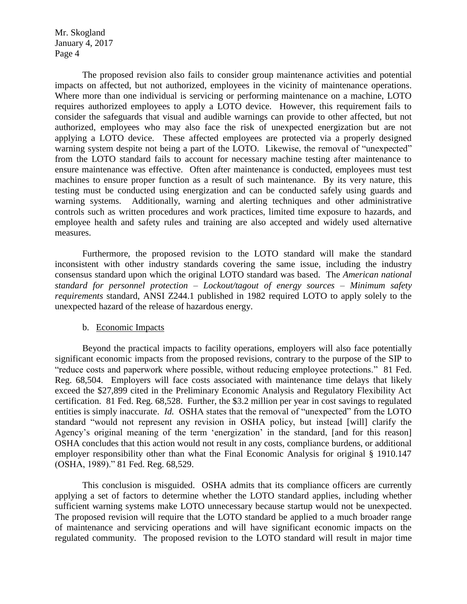The proposed revision also fails to consider group maintenance activities and potential impacts on affected, but not authorized, employees in the vicinity of maintenance operations. Where more than one individual is servicing or performing maintenance on a machine, LOTO requires authorized employees to apply a LOTO device. However, this requirement fails to consider the safeguards that visual and audible warnings can provide to other affected, but not authorized, employees who may also face the risk of unexpected energization but are not applying a LOTO device. These affected employees are protected via a properly designed warning system despite not being a part of the LOTO. Likewise, the removal of "unexpected" from the LOTO standard fails to account for necessary machine testing after maintenance to ensure maintenance was effective. Often after maintenance is conducted, employees must test machines to ensure proper function as a result of such maintenance. By its very nature, this testing must be conducted using energization and can be conducted safely using guards and warning systems. Additionally, warning and alerting techniques and other administrative controls such as written procedures and work practices, limited time exposure to hazards, and employee health and safety rules and training are also accepted and widely used alternative measures.

Furthermore, the proposed revision to the LOTO standard will make the standard inconsistent with other industry standards covering the same issue, including the industry consensus standard upon which the original LOTO standard was based. The *American national standard for personnel protection – Lockout/tagout of energy sources – Minimum safety requirements* standard, ANSI Z244.1 published in 1982 required LOTO to apply solely to the unexpected hazard of the release of hazardous energy.

## b. Economic Impacts

Beyond the practical impacts to facility operations, employers will also face potentially significant economic impacts from the proposed revisions, contrary to the purpose of the SIP to "reduce costs and paperwork where possible, without reducing employee protections." 81 Fed. Reg. 68,504. Employers will face costs associated with maintenance time delays that likely exceed the \$27,899 cited in the Preliminary Economic Analysis and Regulatory Flexibility Act certification. 81 Fed. Reg. 68,528. Further, the \$3.2 million per year in cost savings to regulated entities is simply inaccurate. *Id.* OSHA states that the removal of "unexpected" from the LOTO standard "would not represent any revision in OSHA policy, but instead [will] clarify the Agency's original meaning of the term 'energization' in the standard, [and for this reason] OSHA concludes that this action would not result in any costs, compliance burdens, or additional employer responsibility other than what the Final Economic Analysis for original § 1910.147 (OSHA, 1989)." 81 Fed. Reg. 68,529.

This conclusion is misguided. OSHA admits that its compliance officers are currently applying a set of factors to determine whether the LOTO standard applies, including whether sufficient warning systems make LOTO unnecessary because startup would not be unexpected. The proposed revision will require that the LOTO standard be applied to a much broader range of maintenance and servicing operations and will have significant economic impacts on the regulated community. The proposed revision to the LOTO standard will result in major time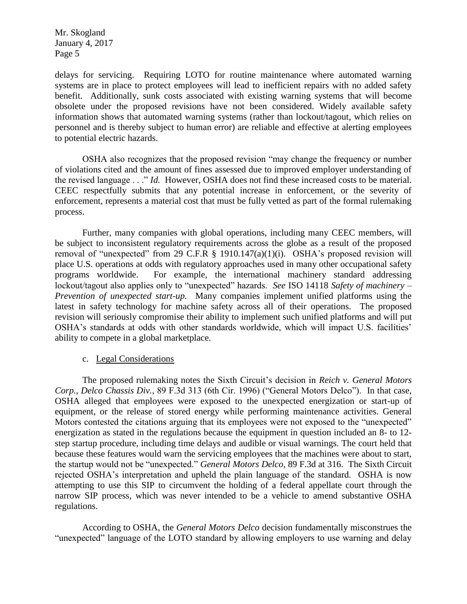delays for servicing. Requiring LOTO for routine maintenance where automated warning systems are in place to protect employees will lead to inefficient repairs with no added safety benefit. Additionally, sunk costs associated with existing warning systems that will become obsolete under the proposed revisions have not been considered. Widely available safety information shows that automated warning systems (rather than lockout/tagout, which relies on personnel and is thereby subject to human error) are reliable and effective at alerting employees to potential electric hazards.

OSHA also recognizes that the proposed revision "may change the frequency or number of violations cited and the amount of fines assessed due to improved employer understanding of the revised language . . ." *Id.* However, OSHA does not find these increased costs to be material. CEEC respectfully submits that any potential increase in enforcement, or the severity of enforcement, represents a material cost that must be fully vetted as part of the formal rulemaking process.

Further, many companies with global operations, including many CEEC members, will be subject to inconsistent regulatory requirements across the globe as a result of the proposed removal of "unexpected" from 29 C.F.R  $\S$  1910.147(a)(1)(i). OSHA's proposed revision will place U.S. operations at odds with regulatory approaches used in many other occupational safety programs worldwide. For example, the international machinery standard addressing lockout/tagout also applies only to "unexpected" hazards. *See* ISO 14118 *Safety of machinery – Prevention of unexpected start-up.* Many companies implement unified platforms using the latest in safety technology for machine safety across all of their operations. The proposed revision will seriously compromise their ability to implement such unified platforms and will put OSHA's standards at odds with other standards worldwide, which will impact U.S. facilities' ability to compete in a global marketplace.

## c. Legal Considerations

The proposed rulemaking notes the Sixth Circuit's decision in *Reich v. General Motors Corp., Delco Chassis Div.*, 89 F.3d 313 (6th Cir. 1996) ("General Motors Delco"). In that case, OSHA alleged that employees were exposed to the unexpected energization or start-up of equipment, or the release of stored energy while performing maintenance activities. General Motors contested the citations arguing that its employees were not exposed to the "unexpected" energization as stated in the regulations because the equipment in question included an 8- to 12 step startup procedure, including time delays and audible or visual warnings. The court held that because these features would warn the servicing employees that the machines were about to start, the startup would not be "unexpected." *General Motors Delco*, 89 F.3d at 316. The Sixth Circuit rejected OSHA's interpretation and upheld the plain language of the standard. OSHA is now attempting to use this SIP to circumvent the holding of a federal appellate court through the narrow SIP process, which was never intended to be a vehicle to amend substantive OSHA regulations.

According to OSHA, the *General Motors Delco* decision fundamentally misconstrues the "unexpected" language of the LOTO standard by allowing employers to use warning and delay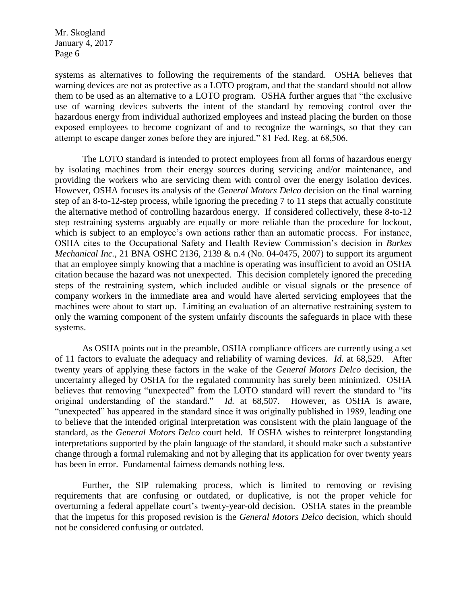systems as alternatives to following the requirements of the standard. OSHA believes that warning devices are not as protective as a LOTO program, and that the standard should not allow them to be used as an alternative to a LOTO program. OSHA further argues that "the exclusive use of warning devices subverts the intent of the standard by removing control over the hazardous energy from individual authorized employees and instead placing the burden on those exposed employees to become cognizant of and to recognize the warnings, so that they can attempt to escape danger zones before they are injured." 81 Fed. Reg. at 68,506.

The LOTO standard is intended to protect employees from all forms of hazardous energy by isolating machines from their energy sources during servicing and/or maintenance, and providing the workers who are servicing them with control over the energy isolation devices. However, OSHA focuses its analysis of the *General Motors Delco* decision on the final warning step of an 8-to-12-step process, while ignoring the preceding 7 to 11 steps that actually constitute the alternative method of controlling hazardous energy. If considered collectively, these 8-to-12 step restraining systems arguably are equally or more reliable than the procedure for lockout, which is subject to an employee's own actions rather than an automatic process. For instance, OSHA cites to the Occupational Safety and Health Review Commission's decision in *Burkes Mechanical Inc.*, 21 BNA OSHC 2136, 2139 & n.4 (No. 04-0475, 2007) to support its argument that an employee simply knowing that a machine is operating was insufficient to avoid an OSHA citation because the hazard was not unexpected. This decision completely ignored the preceding steps of the restraining system, which included audible or visual signals or the presence of company workers in the immediate area and would have alerted servicing employees that the machines were about to start up. Limiting an evaluation of an alternative restraining system to only the warning component of the system unfairly discounts the safeguards in place with these systems.

As OSHA points out in the preamble, OSHA compliance officers are currently using a set of 11 factors to evaluate the adequacy and reliability of warning devices. *Id.* at 68,529. After twenty years of applying these factors in the wake of the *General Motors Delco* decision, the uncertainty alleged by OSHA for the regulated community has surely been minimized. OSHA believes that removing "unexpected" from the LOTO standard will revert the standard to "its original understanding of the standard." *Id.* at 68,507. However, as OSHA is aware, "unexpected" has appeared in the standard since it was originally published in 1989, leading one to believe that the intended original interpretation was consistent with the plain language of the standard, as the *General Motors Delco* court held. If OSHA wishes to reinterpret longstanding interpretations supported by the plain language of the standard, it should make such a substantive change through a formal rulemaking and not by alleging that its application for over twenty years has been in error. Fundamental fairness demands nothing less.

Further, the SIP rulemaking process, which is limited to removing or revising requirements that are confusing or outdated, or duplicative, is not the proper vehicle for overturning a federal appellate court's twenty-year-old decision. OSHA states in the preamble that the impetus for this proposed revision is the *General Motors Delco* decision, which should not be considered confusing or outdated.